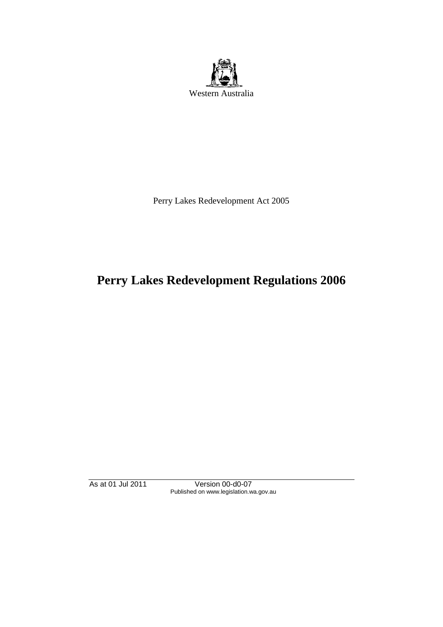

Perry Lakes Redevelopment Act 2005

# **Perry Lakes Redevelopment Regulations 2006**

As at 01 Jul 2011 Version 00-d0-07 Published on www.legislation.wa.gov.au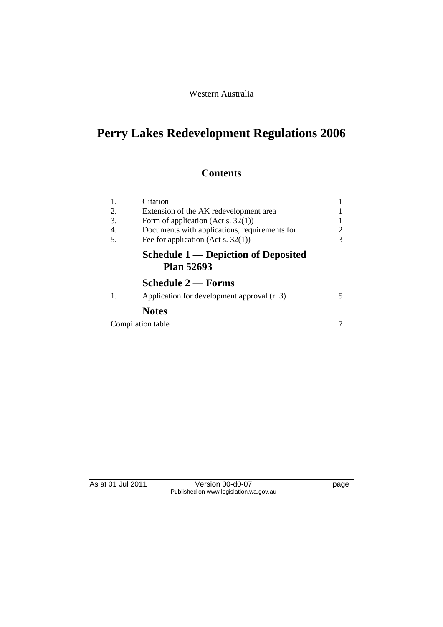## Western Australia

# **Perry Lakes Redevelopment Regulations 2006**

# **Contents**

| 1. | Citation                                                        |   |
|----|-----------------------------------------------------------------|---|
| 2. | Extension of the AK redevelopment area                          |   |
| 3. | Form of application (Act s. $32(1)$ )                           |   |
| 4. | Documents with applications, requirements for                   |   |
| 5. | Fee for application (Act s. $32(1)$ )                           | 3 |
|    | <b>Schedule 1 — Depiction of Deposited</b><br><b>Plan 52693</b> |   |
|    | <b>Schedule 2 — Forms</b>                                       |   |
| 1. | Application for development approval (r. 3)                     |   |
|    | <b>Notes</b>                                                    |   |
|    | Compilation table                                               |   |

As at 01 Jul 2011 Version 00-d0-07 page i Published on www.legislation.wa.gov.au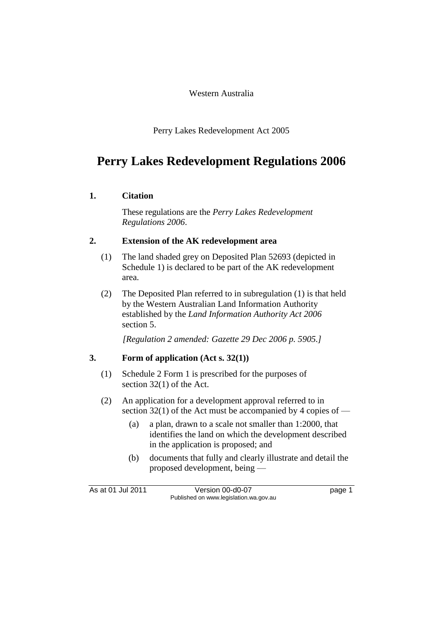#### Western Australia

Perry Lakes Redevelopment Act 2005

# **Perry Lakes Redevelopment Regulations 2006**

### **1. Citation**

These regulations are the *Perry Lakes Redevelopment Regulations 2006*.

### **2. Extension of the AK redevelopment area**

- (1) The land shaded grey on Deposited Plan 52693 (depicted in Schedule 1) is declared to be part of the AK redevelopment area.
- (2) The Deposited Plan referred to in subregulation (1) is that held by the Western Australian Land Information Authority established by the *Land Information Authority Act 2006* section 5.

*[Regulation 2 amended: Gazette 29 Dec 2006 p. 5905.]*

### **3. Form of application (Act s. 32(1))**

- (1) Schedule 2 Form 1 is prescribed for the purposes of section 32(1) of the Act.
- (2) An application for a development approval referred to in section 32(1) of the Act must be accompanied by 4 copies of —
	- (a) a plan, drawn to a scale not smaller than 1:2000, that identifies the land on which the development described in the application is proposed; and
	- (b) documents that fully and clearly illustrate and detail the proposed development, being —

As at 01 Jul 2011 Version 00-d0-07 Page 1 Published on www.legislation.wa.gov.au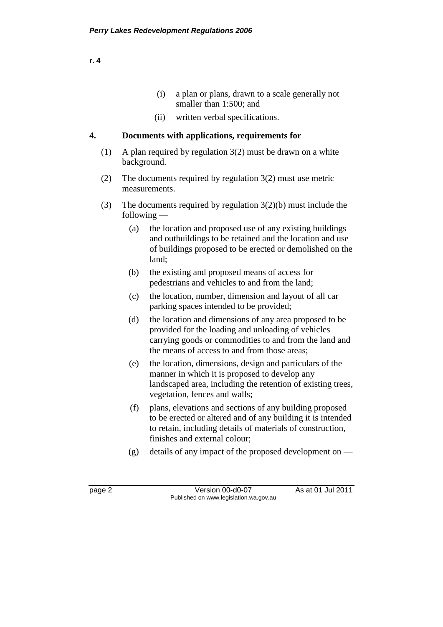| a plan or plans, drawn to a scale generally not |  |
|-------------------------------------------------|--|
| smaller than 1:500; and                         |  |

(ii) written verbal specifications.

## **4. Documents with applications, requirements for**

- (1) A plan required by regulation 3(2) must be drawn on a white background.
- (2) The documents required by regulation 3(2) must use metric measurements.
- (3) The documents required by regulation 3(2)(b) must include the following —
	- (a) the location and proposed use of any existing buildings and outbuildings to be retained and the location and use of buildings proposed to be erected or demolished on the land;
	- (b) the existing and proposed means of access for pedestrians and vehicles to and from the land;
	- (c) the location, number, dimension and layout of all car parking spaces intended to be provided;
	- (d) the location and dimensions of any area proposed to be provided for the loading and unloading of vehicles carrying goods or commodities to and from the land and the means of access to and from those areas;
	- (e) the location, dimensions, design and particulars of the manner in which it is proposed to develop any landscaped area, including the retention of existing trees, vegetation, fences and walls;
	- (f) plans, elevations and sections of any building proposed to be erected or altered and of any building it is intended to retain, including details of materials of construction, finishes and external colour;
	- (g) details of any impact of the proposed development on  $-$

page 2 Version 00-d0-07 As at 01 Jul 2011 Published on www.legislation.wa.gov.au

**r. 4**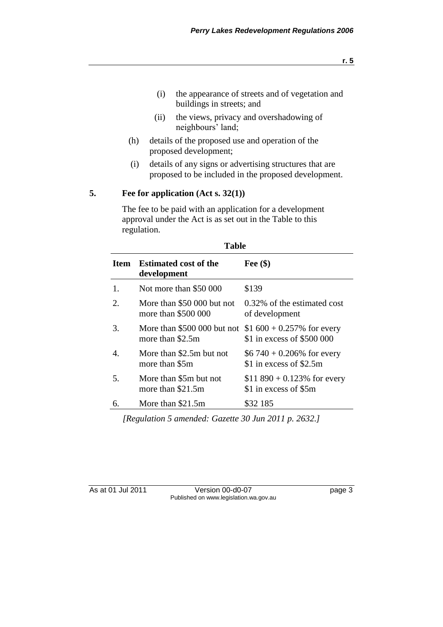- (i) the appearance of streets and of vegetation and buildings in streets; and
- (ii) the views, privacy and overshadowing of neighbours' land;
- (h) details of the proposed use and operation of the proposed development;
- (i) details of any signs or advertising structures that are proposed to be included in the proposed development.

#### **5. Fee for application (Act s. 32(1))**

The fee to be paid with an application for a development approval under the Act is as set out in the Table to this regulation.

**Table** 

| Table       |                                                   |                                                             |  |
|-------------|---------------------------------------------------|-------------------------------------------------------------|--|
| <b>Item</b> | <b>Estimated cost of the</b><br>development       | Fee $(\$)$                                                  |  |
| $1_{-}$     | Not more than \$50 000                            | \$139                                                       |  |
| 2.          | More than \$50 000 but not<br>more than \$500 000 | 0.32% of the estimated cost<br>of development               |  |
| 3.          | More than \$500 000 but not<br>more than \$2.5m   | \$1 $600 + 0.257\%$ for every<br>\$1 in excess of \$500 000 |  |
| 4.          | More than \$2.5m but not<br>more than \$5m        | $$6740 + 0.206\%$ for every<br>\$1 in excess of \$2.5m      |  |
| 5.          | More than \$5m but not<br>more than \$21.5m       | \$11 890 + 0.123% for every<br>\$1 in excess of \$5m        |  |
| 6.          | More than \$21.5m                                 | \$32 185                                                    |  |

*[Regulation 5 amended: Gazette 30 Jun 2011 p. 2632.]*

As at 01 Jul 2011 Version 00-d0-07 Page 3 Published on www.legislation.wa.gov.au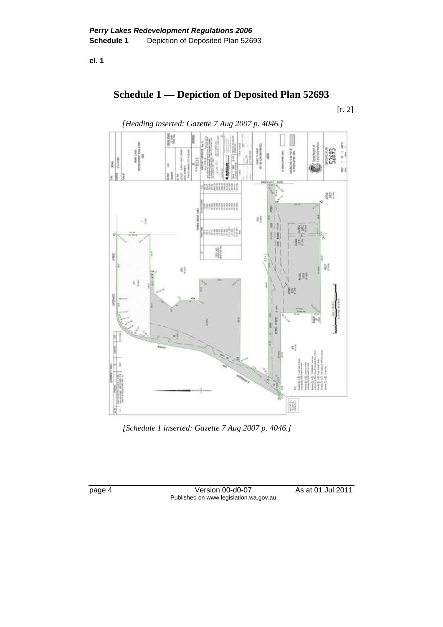**cl. 1**

# **Schedule 1 — Depiction of Deposited Plan 52693**

[r. 2]



*[Schedule 1 inserted: Gazette 7 Aug 2007 p. 4046.]*

page 4 Version 00-d0-07 As at 01 Jul 2011 Published on www.legislation.wa.gov.au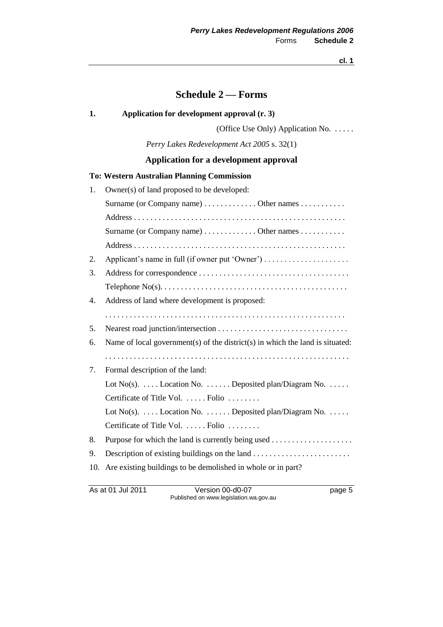**cl. 1**

## **Schedule 2 — Forms**

#### **1. Application for development approval (r. 3)**

(Office Use Only) Application No. . . . . .

*Perry Lakes Redevelopment Act 2005* s. 32(1)

## **Application for a development approval**

#### **To: Western Australian Planning Commission**

| 1.  | Owner(s) of land proposed to be developed:                                    |
|-----|-------------------------------------------------------------------------------|
|     | Surname (or Company name) Other names                                         |
|     |                                                                               |
|     | Surname (or Company name) Other names                                         |
|     |                                                                               |
| 2.  | Applicant's name in full (if owner put 'Owner')                               |
| 3.  |                                                                               |
|     |                                                                               |
| 4.  | Address of land where development is proposed:                                |
|     |                                                                               |
| 5.  |                                                                               |
| 6.  | Name of local government(s) of the district(s) in which the land is situated: |
|     |                                                                               |
| 7.  | Formal description of the land:                                               |
|     | Lot No(s). $\dots$ Location No. $\dots$ Deposited plan/Diagram No. $\dots$ .  |
|     | Certificate of Title Vol.  Folio                                              |
|     | Lot No(s).  Location No.  Deposited plan/Diagram No.                          |
|     | Certificate of Title Vol.  Folio                                              |
| 8.  |                                                                               |
| 9.  |                                                                               |
| 10. | Are existing buildings to be demolished in whole or in part?                  |
|     |                                                                               |

As at 01 Jul 2011 Version 00-d0-07 page 5 Published on www.legislation.wa.gov.au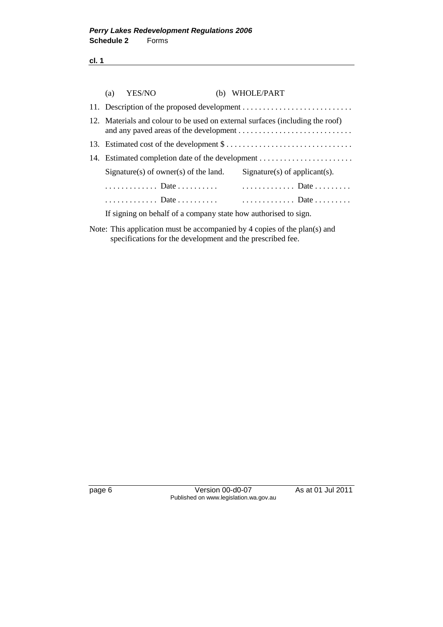**cl. 1**

| (a)                                                                           | YES/NO                                                          |  | (b) WHOLE/PART                |
|-------------------------------------------------------------------------------|-----------------------------------------------------------------|--|-------------------------------|
|                                                                               |                                                                 |  |                               |
| 12. Materials and colour to be used on external surfaces (including the roof) |                                                                 |  |                               |
|                                                                               |                                                                 |  |                               |
|                                                                               |                                                                 |  |                               |
|                                                                               | Signature(s) of owner(s) of the land.                           |  | Signature(s) of applicant(s). |
|                                                                               | Date                                                            |  | $\ldots$ Date                 |
|                                                                               |                                                                 |  | Date Date                     |
|                                                                               | If signing on behalf of a company state how authorised to sign. |  |                               |
|                                                                               |                                                                 |  |                               |

Note: This application must be accompanied by 4 copies of the plan(s) and specifications for the development and the prescribed fee.

page 6 Version 00-d0-07 As at 01 Jul 2011 Published on www.legislation.wa.gov.au